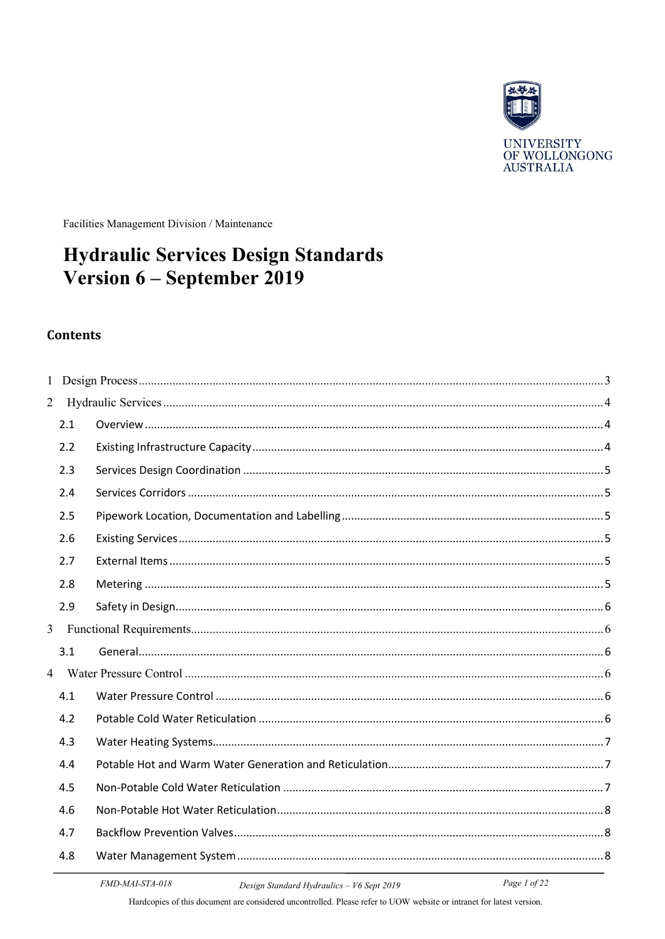

UNIVERSITY<br>OF WOLLONGONG<br>AUSTRALIA

Facilities Management Division / Maintenance

# **Hydraulic Services Design Standards** Version 6 - September 2019

#### **Contents**

| $\overline{2}$ |     |  |
|----------------|-----|--|
|                | 2.1 |  |
|                | 2.2 |  |
|                | 2.3 |  |
|                | 2.4 |  |
|                | 2.5 |  |
|                | 2.6 |  |
|                | 2.7 |  |
|                | 2.8 |  |
|                | 2.9 |  |
| $\overline{3}$ |     |  |
|                | 3.1 |  |
| $\overline{4}$ |     |  |
|                | 4.1 |  |
|                | 4.2 |  |
|                | 4.3 |  |
|                | 4.4 |  |
|                | 4.5 |  |
|                | 4.6 |  |
|                | 4.7 |  |
|                | 4.8 |  |
|                |     |  |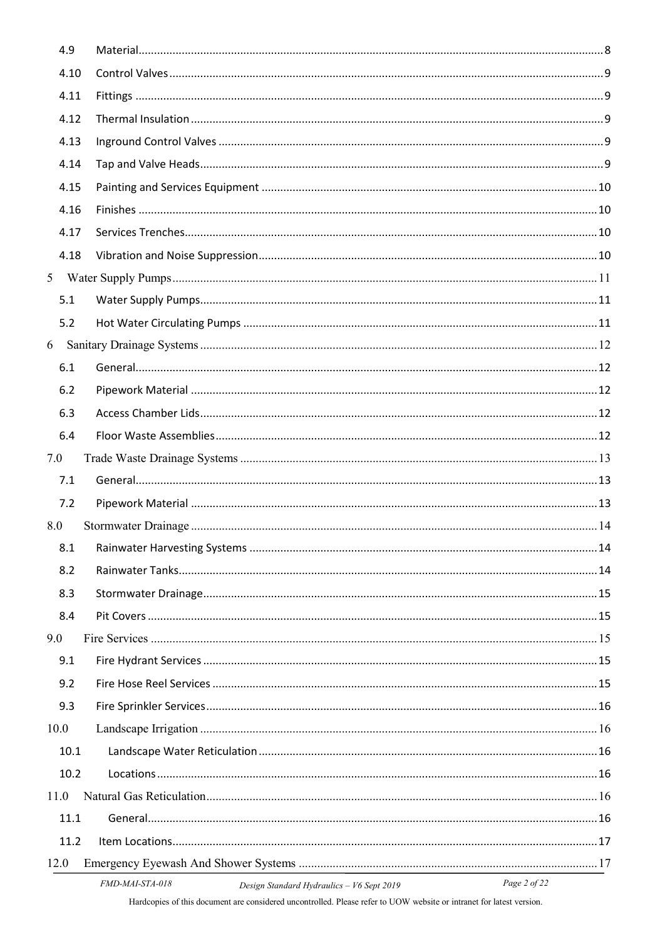|                | 4.9  |                                                                                                                          |  |
|----------------|------|--------------------------------------------------------------------------------------------------------------------------|--|
|                | 4.10 |                                                                                                                          |  |
|                | 4.11 |                                                                                                                          |  |
|                | 4.12 |                                                                                                                          |  |
|                | 4.13 |                                                                                                                          |  |
|                | 4.14 |                                                                                                                          |  |
|                | 4.15 |                                                                                                                          |  |
|                | 4.16 |                                                                                                                          |  |
|                | 4.17 |                                                                                                                          |  |
|                | 4.18 |                                                                                                                          |  |
| 5 <sup>5</sup> |      |                                                                                                                          |  |
|                | 5.1  |                                                                                                                          |  |
|                | 5.2  |                                                                                                                          |  |
| 6              |      |                                                                                                                          |  |
|                | 6.1  |                                                                                                                          |  |
|                | 6.2  |                                                                                                                          |  |
|                | 6.3  |                                                                                                                          |  |
|                | 6.4  |                                                                                                                          |  |
| 7.0            |      |                                                                                                                          |  |
|                | 7.1  |                                                                                                                          |  |
|                | 7.2  |                                                                                                                          |  |
| 8.0            |      |                                                                                                                          |  |
|                | 8.1  |                                                                                                                          |  |
|                | 8.2  |                                                                                                                          |  |
|                | 8.3  |                                                                                                                          |  |
|                | 8.4  |                                                                                                                          |  |
| 9.0            |      |                                                                                                                          |  |
|                | 9.1  |                                                                                                                          |  |
|                | 9.2  |                                                                                                                          |  |
|                | 9.3  |                                                                                                                          |  |
|                | 10.0 |                                                                                                                          |  |
|                | 10.1 |                                                                                                                          |  |
|                | 10.2 |                                                                                                                          |  |
|                | 11.0 |                                                                                                                          |  |
|                | 11.1 |                                                                                                                          |  |
|                | 11.2 |                                                                                                                          |  |
|                | 12.0 |                                                                                                                          |  |
|                |      | $FMDM4LST4.018$ $Dysin StandL1L, then line, 165 cm4.2010$<br>$P_{0}$ $\sigma$ $\sigma$ $\gamma$ $\sigma$ $\tau$ $\gamma$ |  |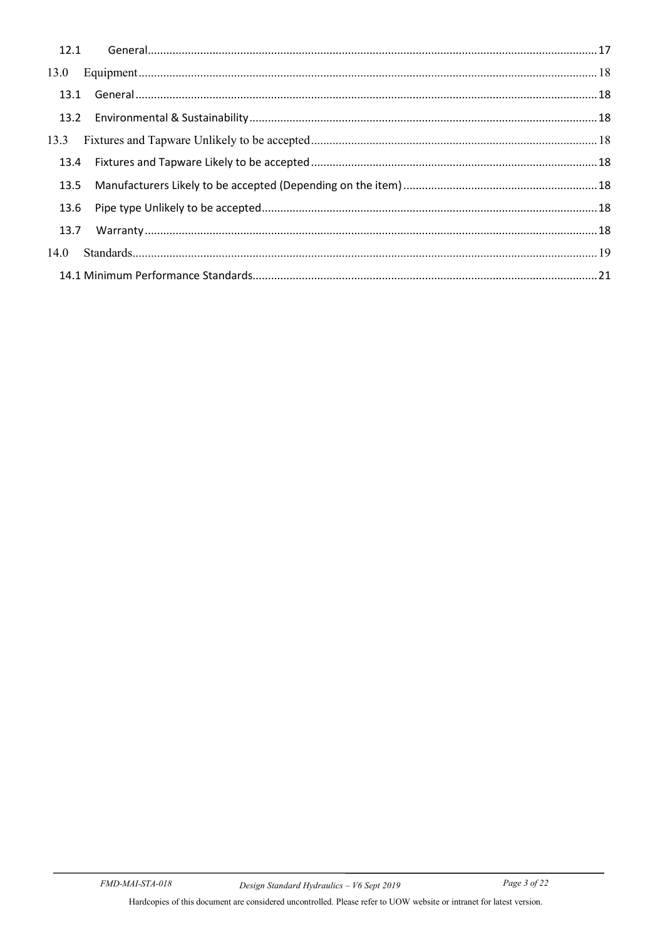| 13.1 |  |
|------|--|
|      |  |
| 13.3 |  |
| 13.4 |  |
| 13.5 |  |
| 13.6 |  |
| 13.7 |  |
| 14.0 |  |
|      |  |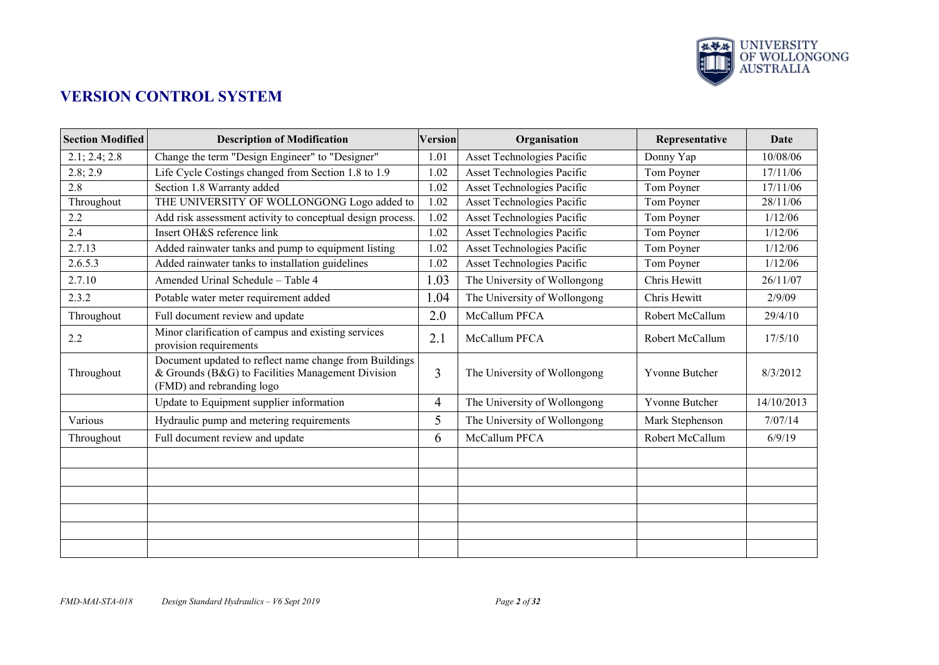

# **VERSION CONTROL SYSTEM**

| <b>Section Modified</b> | <b>Description of Modification</b>                                                                                                       | <b>Version</b> | Organisation                 | Representative  | <b>Date</b> |
|-------------------------|------------------------------------------------------------------------------------------------------------------------------------------|----------------|------------------------------|-----------------|-------------|
| 2.1; 2.4; 2.8           | Change the term "Design Engineer" to "Designer"                                                                                          | 1.01           | Asset Technologies Pacific   | Donny Yap       | 10/08/06    |
| 2.8; 2.9                | Life Cycle Costings changed from Section 1.8 to 1.9                                                                                      | 1.02           | Asset Technologies Pacific   | Tom Poyner      | 17/11/06    |
| 2.8                     | Section 1.8 Warranty added                                                                                                               | 1.02           | Asset Technologies Pacific   | Tom Poyner      | 17/11/06    |
| Throughout              | THE UNIVERSITY OF WOLLONGONG Logo added to                                                                                               | 1.02           | Asset Technologies Pacific   | Tom Poyner      | 28/11/06    |
| 2.2                     | Add risk assessment activity to conceptual design process.                                                                               | 1.02           | Asset Technologies Pacific   | Tom Poyner      | 1/12/06     |
| 2.4                     | Insert OH&S reference link                                                                                                               | 1.02           | Asset Technologies Pacific   | Tom Poyner      | 1/12/06     |
| 2.7.13                  | Added rainwater tanks and pump to equipment listing                                                                                      | 1.02           | Asset Technologies Pacific   | Tom Poyner      | 1/12/06     |
| 2.6.5.3                 | Added rainwater tanks to installation guidelines                                                                                         | 1.02           | Asset Technologies Pacific   | Tom Poyner      | 1/12/06     |
| 2.7.10                  | Amended Urinal Schedule - Table 4                                                                                                        | 1.03           | The University of Wollongong | Chris Hewitt    | 26/11/07    |
| 2.3.2                   | Potable water meter requirement added                                                                                                    | 1.04           | The University of Wollongong | Chris Hewitt    | 2/9/09      |
| Throughout              | Full document review and update                                                                                                          | 2.0            | McCallum PFCA                | Robert McCallum | 29/4/10     |
| 2.2                     | Minor clarification of campus and existing services<br>provision requirements                                                            | 2.1            | McCallum PFCA                | Robert McCallum | 17/5/10     |
| Throughout              | Document updated to reflect name change from Buildings<br>& Grounds (B&G) to Facilities Management Division<br>(FMD) and rebranding logo | $\overline{3}$ | The University of Wollongong | Yvonne Butcher  | 8/3/2012    |
|                         | Update to Equipment supplier information                                                                                                 | 4              | The University of Wollongong | Yvonne Butcher  | 14/10/2013  |
| Various                 | Hydraulic pump and metering requirements                                                                                                 | 5              | The University of Wollongong | Mark Stephenson | 7/07/14     |
| Throughout              | Full document review and update                                                                                                          | 6              | McCallum PFCA                | Robert McCallum | 6/9/19      |
|                         |                                                                                                                                          |                |                              |                 |             |
|                         |                                                                                                                                          |                |                              |                 |             |
|                         |                                                                                                                                          |                |                              |                 |             |
|                         |                                                                                                                                          |                |                              |                 |             |
|                         |                                                                                                                                          |                |                              |                 |             |
|                         |                                                                                                                                          |                |                              |                 |             |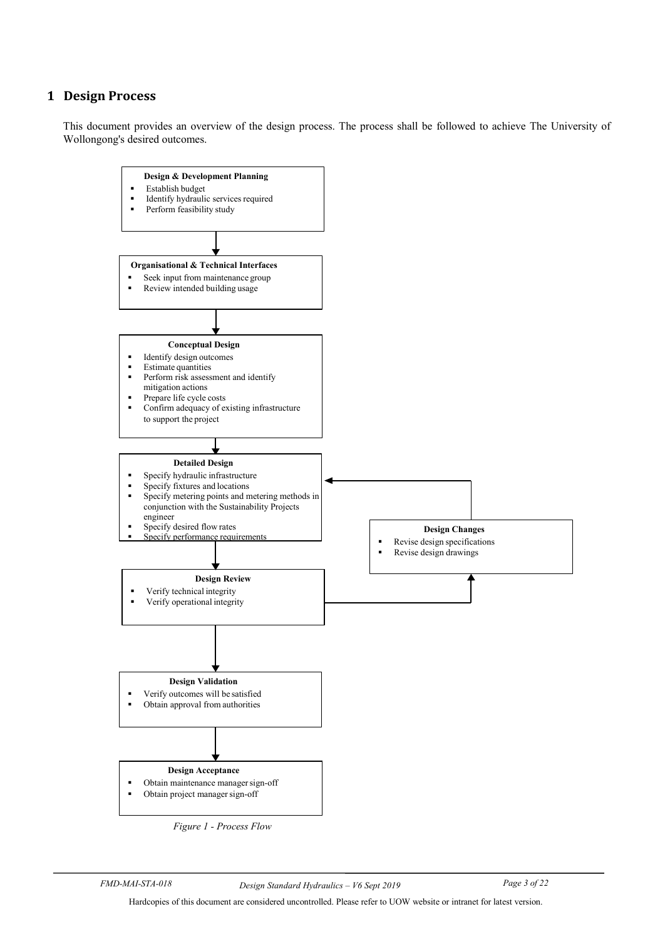## <span id="page-4-0"></span>**1 Design Process**

This document provides an overview of the design process. The process shall be followed to achieve The University of Wollongong's desired outcomes.



*Figure 1 - Process Flow*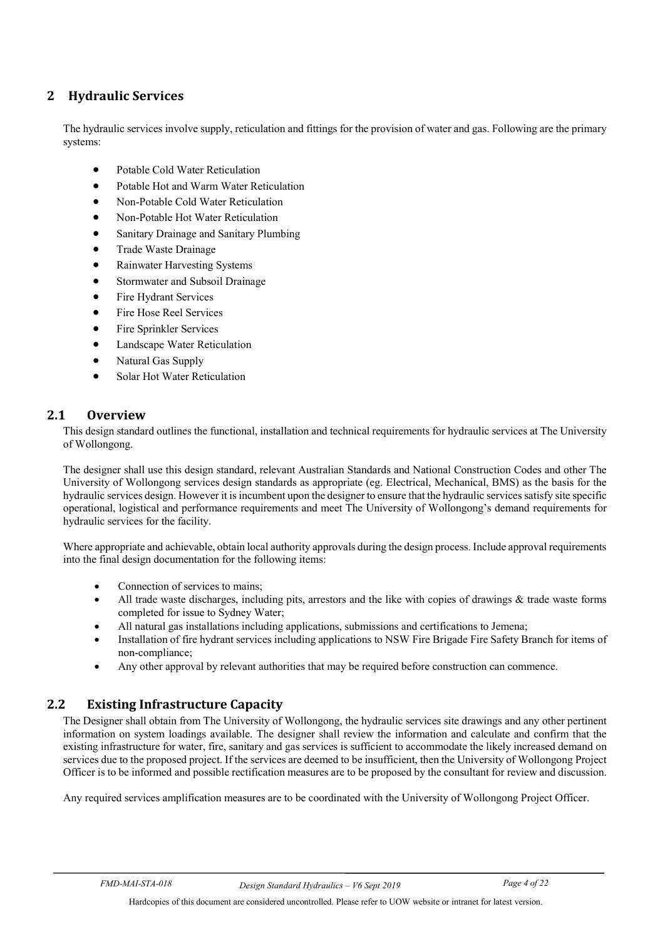# <span id="page-5-0"></span>**2 Hydraulic Services**

The hydraulic services involve supply, reticulation and fittings for the provision of water and gas. Following are the primary systems:

- Potable Cold Water Reticulation
- Potable Hot and Warm Water Reticulation
- Non-Potable Cold Water Reticulation
- Non-Potable Hot Water Reticulation
- Sanitary Drainage and Sanitary Plumbing
- Trade Waste Drainage
- Rainwater Harvesting Systems
- Stormwater and Subsoil Drainage
- Fire Hydrant Services
- Fire Hose Reel Services
- Fire Sprinkler Services
- Landscape Water Reticulation
- Natural Gas Supply
- Solar Hot Water Reticulation

#### <span id="page-5-1"></span>**2.1 Overview**

This design standard outlines the functional, installation and technical requirements for hydraulic services at The University of Wollongong.

The designer shall use this design standard, relevant Australian Standards and National Construction Codes and other The University of Wollongong services design standards as appropriate (eg. Electrical, Mechanical, BMS) as the basis for the hydraulic services design. However it is incumbent upon the designer to ensure that the hydraulic services satisfy site specific operational, logistical and performance requirements and meet The University of Wollongong's demand requirements for hydraulic services for the facility.

Where appropriate and achievable, obtain local authority approvals during the design process. Include approval requirements into the final design documentation for the following items:

- Connection of services to mains:
- All trade waste discharges, including pits, arrestors and the like with copies of drawings & trade waste forms completed for issue to Sydney Water;
- All natural gas installations including applications, submissions and certifications to Jemena;
- Installation of fire hydrant services including applications to NSW Fire Brigade Fire Safety Branch for items of non-compliance;
- Any other approval by relevant authorities that may be required before construction can commence.

## <span id="page-5-2"></span>**2.2 Existing Infrastructure Capacity**

The Designer shall obtain from The University of Wollongong, the hydraulic services site drawings and any other pertinent information on system loadings available. The designer shall review the information and calculate and confirm that the existing infrastructure for water, fire, sanitary and gas services is sufficient to accommodate the likely increased demand on services due to the proposed project. If the services are deemed to be insufficient, then the University of Wollongong Project Officer is to be informed and possible rectification measures are to be proposed by the consultant for review and discussion.

Any required services amplification measures are to be coordinated with the University of Wollongong Project Officer.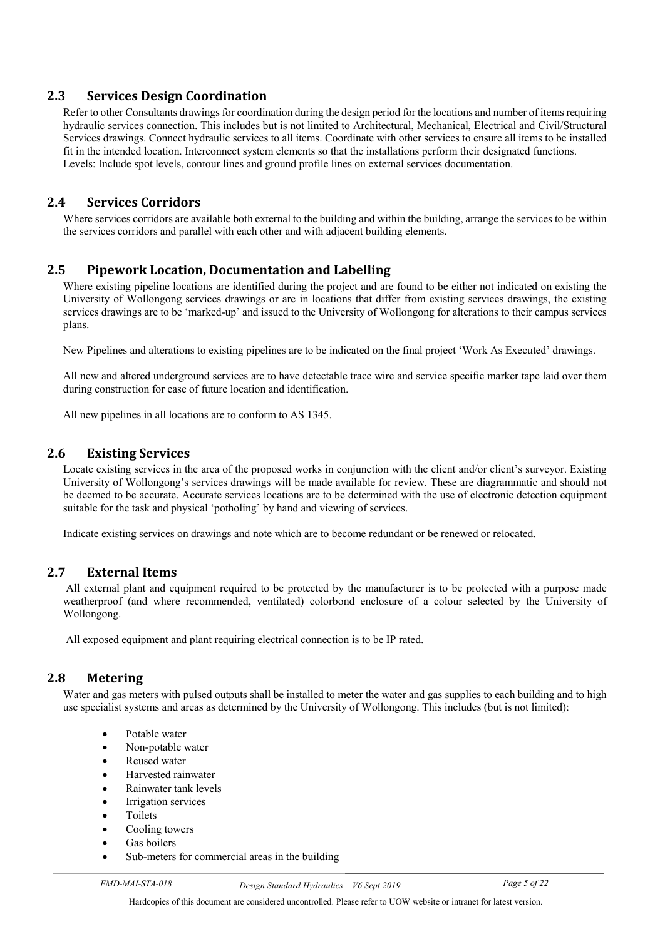## <span id="page-6-0"></span>**2.3 Services Design Coordination**

Refer to other Consultants drawings for coordination during the design period for the locations and number of items requiring hydraulic services connection. This includes but is not limited to Architectural, Mechanical, Electrical and Civil/Structural Services drawings. Connect hydraulic services to all items. Coordinate with other services to ensure all items to be installed fit in the intended location. Interconnect system elements so that the installations perform their designated functions. Levels: Include spot levels, contour lines and ground profile lines on external services documentation.

## <span id="page-6-1"></span>**2.4 Services Corridors**

Where services corridors are available both external to the building and within the building, arrange the services to be within the services corridors and parallel with each other and with adjacent building elements.

#### <span id="page-6-2"></span>**2.5 Pipework Location, Documentation and Labelling**

Where existing pipeline locations are identified during the project and are found to be either not indicated on existing the University of Wollongong services drawings or are in locations that differ from existing services drawings, the existing services drawings are to be 'marked-up' and issued to the University of Wollongong for alterations to their campus services plans.

New Pipelines and alterations to existing pipelines are to be indicated on the final project 'Work As Executed' drawings.

All new and altered underground services are to have detectable trace wire and service specific marker tape laid over them during construction for ease of future location and identification.

All new pipelines in all locations are to conform to AS 1345.

#### <span id="page-6-3"></span>**2.6 Existing Services**

Locate existing services in the area of the proposed works in conjunction with the client and/or client's surveyor. Existing University of Wollongong's services drawings will be made available for review. These are diagrammatic and should not be deemed to be accurate. Accurate services locations are to be determined with the use of electronic detection equipment suitable for the task and physical 'potholing' by hand and viewing of services.

Indicate existing services on drawings and note which are to become redundant or be renewed or relocated.

#### <span id="page-6-4"></span>**2.7 External Items**

All external plant and equipment required to be protected by the manufacturer is to be protected with a purpose made weatherproof (and where recommended, ventilated) colorbond enclosure of a colour selected by the University of Wollongong.

All exposed equipment and plant requiring electrical connection is to be IP rated.

#### <span id="page-6-5"></span>**2.8 Metering**

Water and gas meters with pulsed outputs shall be installed to meter the water and gas supplies to each building and to high use specialist systems and areas as determined by the University of Wollongong. This includes (but is not limited):

- Potable water
- Non-potable water
- Reused water
- Harvested rainwater
- Rainwater tank levels
- **Irrigation services**
- **Toilets**
- Cooling towers
- Gas boilers
- Sub-meters for commercial areas in the building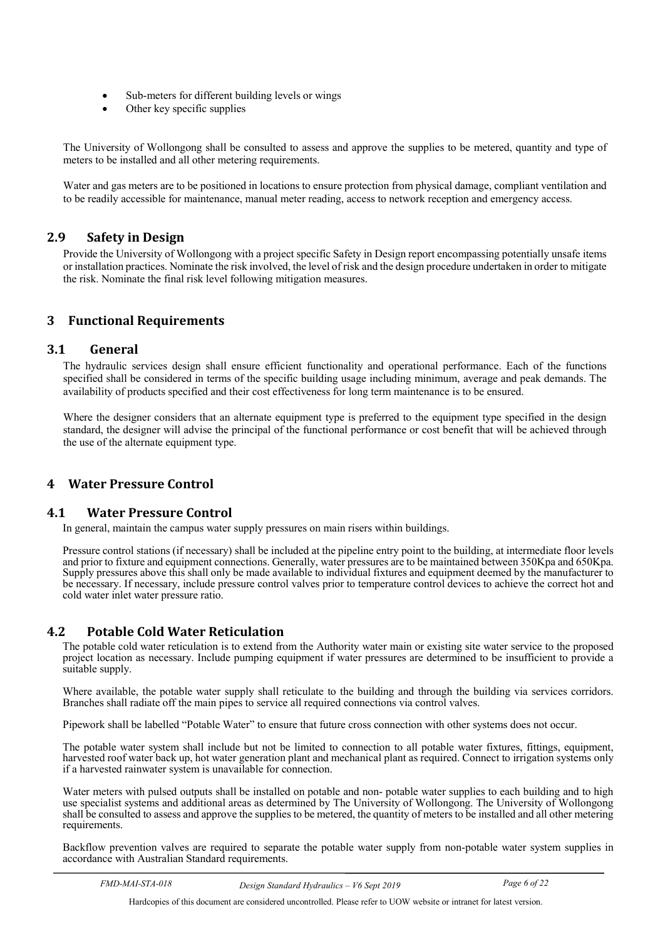- Sub-meters for different building levels or wings
- Other key specific supplies

The University of Wollongong shall be consulted to assess and approve the supplies to be metered, quantity and type of meters to be installed and all other metering requirements.

Water and gas meters are to be positioned in locations to ensure protection from physical damage, compliant ventilation and to be readily accessible for maintenance, manual meter reading, access to network reception and emergency access.

#### <span id="page-7-0"></span>**2.9 Safety in Design**

Provide the University of Wollongong with a project specific Safety in Design report encompassing potentially unsafe items or installation practices. Nominate the risk involved, the level of risk and the design procedure undertaken in order to mitigate the risk. Nominate the final risk level following mitigation measures.

## <span id="page-7-1"></span>**3 Functional Requirements**

#### <span id="page-7-2"></span>**3.1 General**

The hydraulic services design shall ensure efficient functionality and operational performance. Each of the functions specified shall be considered in terms of the specific building usage including minimum, average and peak demands. The availability of products specified and their cost effectiveness for long term maintenance is to be ensured.

Where the designer considers that an alternate equipment type is preferred to the equipment type specified in the design standard, the designer will advise the principal of the functional performance or cost benefit that will be achieved through the use of the alternate equipment type.

#### <span id="page-7-3"></span>**4 Water Pressure Control**

#### <span id="page-7-4"></span>**4.1 Water Pressure Control**

In general, maintain the campus water supply pressures on main risers within buildings.

Pressure control stations (if necessary) shall be included at the pipeline entry point to the building, at intermediate floor levels and prior to fixture and equipment connections. Generally, water pressures are to be maintained between 350Kpa and 650Kpa. Supply pressures above this shall only be made available to individual fixtures and equipment deemed by the manufacturer to be necessary. If necessary, include pressure control valves prior to temperature control devices to achieve the correct hot and cold water inlet water pressure ratio.

#### <span id="page-7-5"></span>**4.2 Potable Cold Water Reticulation**

The potable cold water reticulation is to extend from the Authority water main or existing site water service to the proposed project location as necessary. Include pumping equipment if water pressures are determined to be insufficient to provide a suitable supply.

Where available, the potable water supply shall reticulate to the building and through the building via services corridors. Branches shall radiate off the main pipes to service all required connections via control valves.

Pipework shall be labelled "Potable Water" to ensure that future cross connection with other systems does not occur.

The potable water system shall include but not be limited to connection to all potable water fixtures, fittings, equipment, harvested roof water back up, hot water generation plant and mechanical plant as required. Connect to irrigation systems only if a harvested rainwater system is unavailable for connection.

Water meters with pulsed outputs shall be installed on potable and non- potable water supplies to each building and to high use specialist systems and additional areas as determined by The University of Wollongong. The University of Wollongong shall be consulted to assess and approve the supplies to be metered, the quantity of meters to be installed and all other metering requirements.

Backflow prevention valves are required to separate the potable water supply from non-potable water system supplies in accordance with Australian Standard requirements.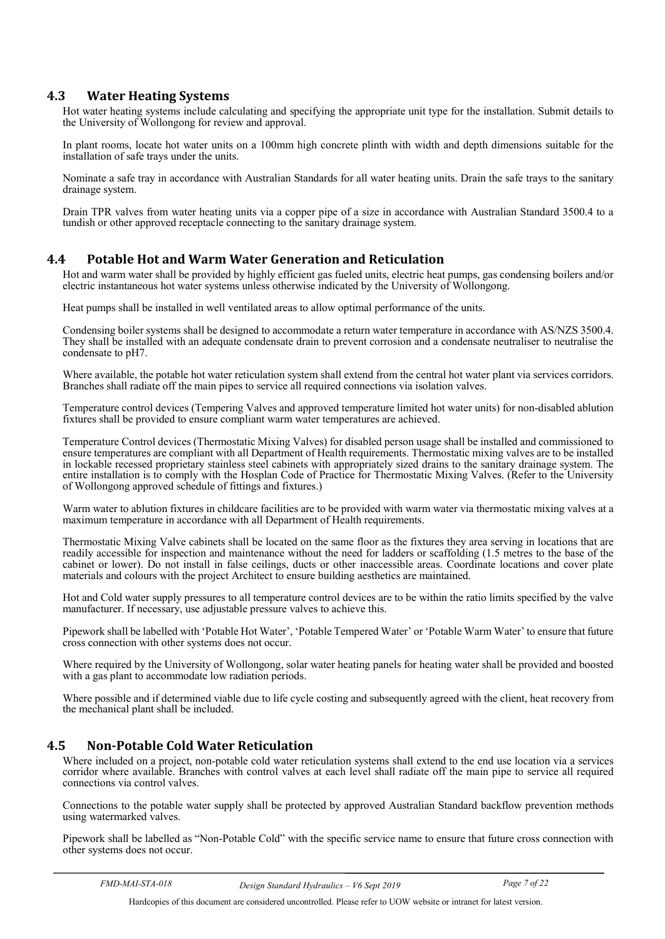#### <span id="page-8-0"></span>**4.3 Water Heating Systems**

Hot water heating systems include calculating and specifying the appropriate unit type for the installation. Submit details to the University of Wollongong for review and approval.

In plant rooms, locate hot water units on a 100mm high concrete plinth with width and depth dimensions suitable for the installation of safe trays under the units.

Nominate a safe tray in accordance with Australian Standards for all water heating units. Drain the safe trays to the sanitary drainage system.

Drain TPR valves from water heating units via a copper pipe of a size in accordance with Australian Standard 3500.4 to a tundish or other approved receptacle connecting to the sanitary drainage system.

#### <span id="page-8-1"></span>**4.4 Potable Hot and Warm Water Generation and Reticulation**

Hot and warm water shall be provided by highly efficient gas fueled units, electric heat pumps, gas condensing boilers and/or electric instantaneous hot water systems unless otherwise indicated by the University of Wollongong.

Heat pumps shall be installed in well ventilated areas to allow optimal performance of the units.

Condensing boiler systems shall be designed to accommodate a return water temperature in accordance with AS/NZS 3500.4. They shall be installed with an adequate condensate drain to prevent corrosion and a condensate neutraliser to neutralise the condensate to pH7.

Where available, the potable hot water reticulation system shall extend from the central hot water plant via services corridors. Branches shall radiate off the main pipes to service all required connections via isolation valves.

Temperature control devices (Tempering Valves and approved temperature limited hot water units) for non-disabled ablution fixtures shall be provided to ensure compliant warm water temperatures are achieved.

Temperature Control devices (Thermostatic Mixing Valves) for disabled person usage shall be installed and commissioned to ensure temperatures are compliant with all Department of Health requirements. Thermostatic mixing valves are to be installed in lockable recessed proprietary stainless steel cabinets with appropriately sized drains to the sanitary drainage system. The entire installation is to comply with the Hosplan Code of Practice for Thermostatic Mixing Valves. (Refer to the University of Wollongong approved schedule of fittings and fixtures.)

Warm water to ablution fixtures in childcare facilities are to be provided with warm water via thermostatic mixing valves at a maximum temperature in accordance with all Department of Health requirements.

Thermostatic Mixing Valve cabinets shall be located on the same floor as the fixtures they area serving in locations that are readily accessible for inspection and maintenance without the need for ladders or scaffolding (1.5 metres to the base of the cabinet or lower). Do not install in false ceilings, ducts or other inaccessible areas. Coordinate locations and cover plate materials and colours with the project Architect to ensure building aesthetics are maintained.

Hot and Cold water supply pressures to all temperature control devices are to be within the ratio limits specified by the valve manufacturer. If necessary, use adjustable pressure valves to achieve this.

Pipework shall be labelled with 'Potable Hot Water', 'Potable Tempered Water' or 'Potable Warm Water' to ensure that future cross connection with other systems does not occur.

Where required by the University of Wollongong, solar water heating panels for heating water shall be provided and boosted with a gas plant to accommodate low radiation periods.

Where possible and if determined viable due to life cycle costing and subsequently agreed with the client, heat recovery from the mechanical plant shall be included.

#### <span id="page-8-2"></span>**4.5 Non-Potable Cold Water Reticulation**

Where included on a project, non-potable cold water reticulation systems shall extend to the end use location via a services corridor where available. Branches with control valves at each level shall radiate off the main pipe to service all required connections via control valves.

Connections to the potable water supply shall be protected by approved Australian Standard backflow prevention methods using watermarked valves.

Pipework shall be labelled as "Non-Potable Cold" with the specific service name to ensure that future cross connection with other systems does not occur.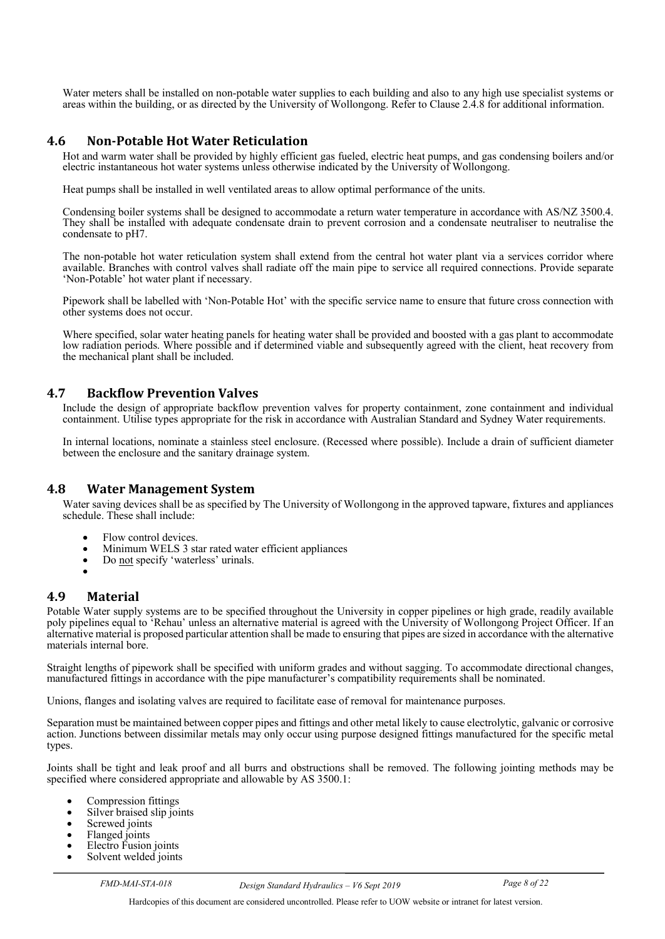Water meters shall be installed on non-potable water supplies to each building and also to any high use specialist systems or areas within the building, or as directed by the University of Wollongong. Refer to Clause 2.4.8 for additional information.

#### <span id="page-9-0"></span>**4.6 Non-Potable Hot Water Reticulation**

Hot and warm water shall be provided by highly efficient gas fueled, electric heat pumps, and gas condensing boilers and/or electric instantaneous hot water systems unless otherwise indicated by the University of Wollongong.

Heat pumps shall be installed in well ventilated areas to allow optimal performance of the units.

Condensing boiler systems shall be designed to accommodate a return water temperature in accordance with AS/NZ 3500.4. They shall be installed with adequate condensate drain to prevent corrosion and a condensate neutraliser to neutralise the condensate to pH7.

The non-potable hot water reticulation system shall extend from the central hot water plant via a services corridor where available. Branches with control valves shall radiate off the main pipe to service all required connections. Provide separate 'Non-Potable' hot water plant if necessary.

Pipework shall be labelled with 'Non-Potable Hot' with the specific service name to ensure that future cross connection with other systems does not occur.

Where specified, solar water heating panels for heating water shall be provided and boosted with a gas plant to accommodate low radiation periods. Where possible and if determined viable and subsequently agreed with the client, heat recovery from the mechanical plant shall be included.

#### <span id="page-9-1"></span>**4.7 Backflow Prevention Valves**

Include the design of appropriate backflow prevention valves for property containment, zone containment and individual containment. Utilise types appropriate for the risk in accordance with Australian Standard and Sydney Water requirements.

In internal locations, nominate a stainless steel enclosure. (Recessed where possible). Include a drain of sufficient diameter between the enclosure and the sanitary drainage system.

#### <span id="page-9-2"></span>**4.8 Water Management System**

Water saving devices shall be as specified by The University of Wollongong in the approved tapware, fixtures and appliances schedule. These shall include:

- Flow control devices.
- Minimum WELS 3 star rated water efficient appliances
- Do not specify 'waterless' urinals.
- 

## <span id="page-9-3"></span>**4.9 Material**

Potable Water supply systems are to be specified throughout the University in copper pipelines or high grade, readily available poly pipelines equal to 'Rehau' unless an alternative material is agreed with the University of Wollongong Project Officer. If an alternative material is proposed particular attention shall be made to ensuring that pipes are sized in accordance with the alternative materials internal bore.

Straight lengths of pipework shall be specified with uniform grades and without sagging. To accommodate directional changes, manufactured fittings in accordance with the pipe manufacturer's compatibility requirements shall be nominated.

Unions, flanges and isolating valves are required to facilitate ease of removal for maintenance purposes.

Separation must be maintained between copper pipes and fittings and other metal likely to cause electrolytic, galvanic or corrosive action. Junctions between dissimilar metals may only occur using purpose designed fittings manufactured for the specific metal types.

Joints shall be tight and leak proof and all burrs and obstructions shall be removed. The following jointing methods may be specified where considered appropriate and allowable by AS 3500.1:

- Compression fittings
- Silver braised slip joints<br>• Screwed joints
- 
- Flanged joints
- Electro Fusion joints<br>• Solvent welded joints
-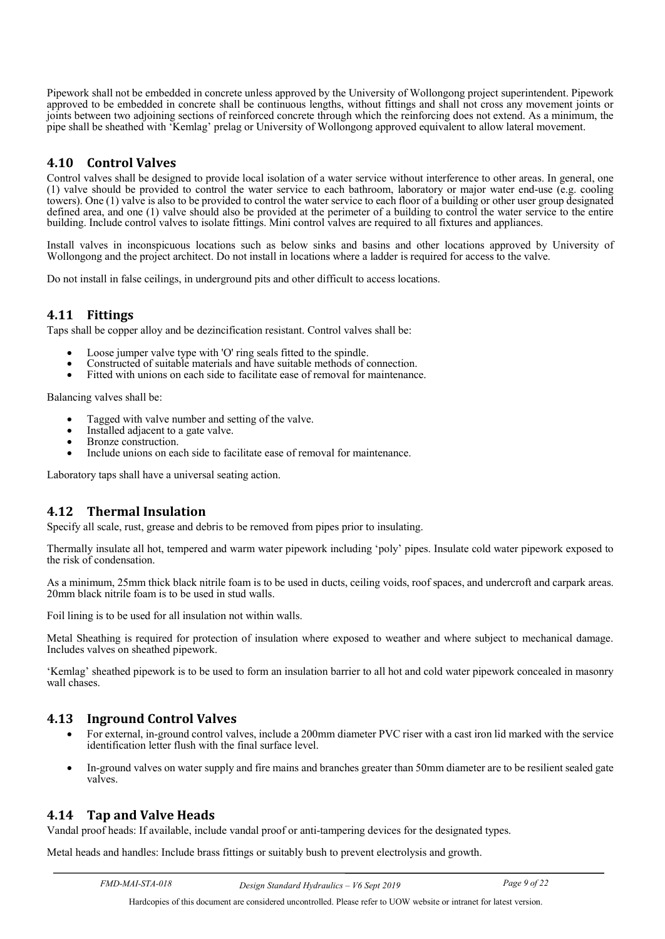Pipework shall not be embedded in concrete unless approved by the University of Wollongong project superintendent. Pipework approved to be embedded in concrete shall be continuous lengths, without fittings and shall not cross any movement joints or joints between two adjoining sections of reinforced concrete through which the reinforcing does not extend. As a minimum, the pipe shall be sheathed with 'Kemlag' prelag or University of Wollongong approved equivalent to allow lateral movement.

## <span id="page-10-0"></span>**4.10 Control Valves**

Control valves shall be designed to provide local isolation of a water service without interference to other areas. In general, one (1) valve should be provided to control the water service to each bathroom, laboratory or major water end-use (e.g. cooling towers). One (1) valve is also to be provided to control the water service to each floor of a building or other user group designated defined area, and one (1) valve should also be provided at the perimeter of a building to control the water service to the entire building. Include control valves to isolate fittings. Mini control valves are required to all fixtures and appliances.

Install valves in inconspicuous locations such as below sinks and basins and other locations approved by University of Wollongong and the project architect. Do not install in locations where a ladder is required for access to the valve.

Do not install in false ceilings, in underground pits and other difficult to access locations.

#### <span id="page-10-1"></span>**4.11 Fittings**

Taps shall be copper alloy and be dezincification resistant. Control valves shall be:

- Loose jumper valve type with 'O' ring seals fitted to the spindle.
- Constructed of suitable materials and have suitable methods of connection.
- Fitted with unions on each side to facilitate ease of removal for maintenance.

Balancing valves shall be:

- Tagged with valve number and setting of the valve.
- Installed adjacent to a gate valve.<br>Bronze construction.
- 
- Include unions on each side to facilitate ease of removal for maintenance.

Laboratory taps shall have a universal seating action.

#### <span id="page-10-2"></span>**4.12 Thermal Insulation**

Specify all scale, rust, grease and debris to be removed from pipes prior to insulating.

Thermally insulate all hot, tempered and warm water pipework including 'poly' pipes. Insulate cold water pipework exposed to the risk of condensation.

As a minimum, 25mm thick black nitrile foam is to be used in ducts, ceiling voids, roof spaces, and undercroft and carpark areas. 20mm black nitrile foam is to be used in stud walls.

Foil lining is to be used for all insulation not within walls.

Metal Sheathing is required for protection of insulation where exposed to weather and where subject to mechanical damage. Includes valves on sheathed pipework.

'Kemlag' sheathed pipework is to be used to form an insulation barrier to all hot and cold water pipework concealed in masonry wall chases.

#### <span id="page-10-3"></span>**4.13 Inground Control Valves**

- For external, in-ground control valves, include a 200mm diameter PVC riser with a cast iron lid marked with the service identification letter flush with the final surface level.
- In-ground valves on water supply and fire mains and branches greater than 50mm diameter are to be resilient sealed gate valves.

#### <span id="page-10-4"></span>**4.14 Tap and Valve Heads**

Vandal proof heads: If available, include vandal proof or anti-tampering devices for the designated types.

Metal heads and handles: Include brass fittings or suitably bush to prevent electrolysis and growth.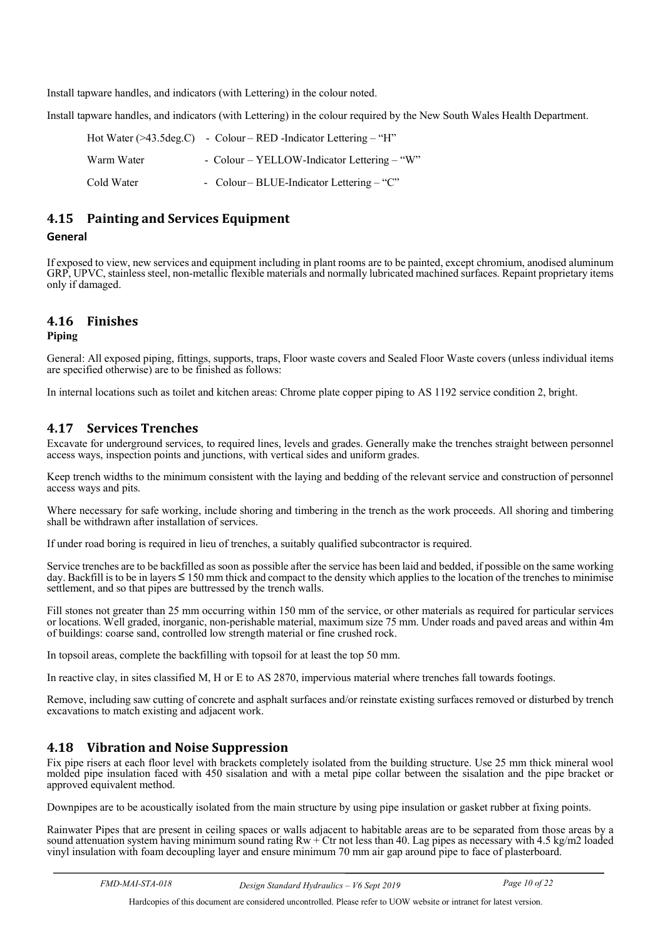Install tapware handles, and indicators (with Lettering) in the colour noted.

Install tapware handles, and indicators (with Lettering) in the colour required by the New South Wales Health Department.

|            | Hot Water ( $>43.5 \text{deg.C}$ ) - Colour – RED -Indicator Lettering – "H" |
|------------|------------------------------------------------------------------------------|
| Warm Water | - Colour – YELLOW-Indicator Lettering – "W"                                  |
| Cold Water | - Colour-BLUE-Indicator Lettering $-$ "C"                                    |

## <span id="page-11-0"></span>**4.15 Painting and Services Equipment**

#### **General**

If exposed to view, new services and equipment including in plant rooms are to be painted, except chromium, anodised aluminum GRP, UPVC, stainless steel, non-metallic flexible materials and normally lubricated machined surfaces. Repaint proprietary items only if damaged.

## <span id="page-11-1"></span>**4.16 Finishes**

#### **Piping**

General: All exposed piping, fittings, supports, traps, Floor waste covers and Sealed Floor Waste covers (unless individual items are specified otherwise) are to be finished as follows:

In internal locations such as toilet and kitchen areas: Chrome plate copper piping to AS 1192 service condition 2, bright.

## <span id="page-11-2"></span>**4.17 Services Trenches**

Excavate for underground services, to required lines, levels and grades. Generally make the trenches straight between personnel access ways, inspection points and junctions, with vertical sides and uniform grades.

Keep trench widths to the minimum consistent with the laying and bedding of the relevant service and construction of personnel access ways and pits.

Where necessary for safe working, include shoring and timbering in the trench as the work proceeds. All shoring and timbering shall be withdrawn after installation of services.

If under road boring is required in lieu of trenches, a suitably qualified subcontractor is required.

Service trenches are to be backfilled as soon as possible after the service has been laid and bedded, if possible on the same working day. Backfill is to be in layers ≤ 150 mm thick and compact to the density which applies to the location of the trenches to minimise settlement, and so that pipes are buttressed by the trench walls.

Fill stones not greater than 25 mm occurring within 150 mm of the service, or other materials as required for particular services or locations. Well graded, inorganic, non-perishable material, maximum size 75 mm. Under roads and paved areas and within 4m of buildings: coarse sand, controlled low strength material or fine crushed rock.

In topsoil areas, complete the backfilling with topsoil for at least the top 50 mm.

In reactive clay, in sites classified M, H or E to AS 2870, impervious material where trenches fall towards footings.

Remove, including saw cutting of concrete and asphalt surfaces and/or reinstate existing surfaces removed or disturbed by trench excavations to match existing and adjacent work.

## <span id="page-11-3"></span>**4.18 Vibration and Noise Suppression**

Fix pipe risers at each floor level with brackets completely isolated from the building structure. Use 25 mm thick mineral wool molded pipe insulation faced with 450 sisalation and with a metal pipe collar between the sisalation and the pipe bracket or approved equivalent method.

Downpipes are to be acoustically isolated from the main structure by using pipe insulation or gasket rubber at fixing points.

Rainwater Pipes that are present in ceiling spaces or walls adjacent to habitable areas are to be separated from those areas by a sound attenuation system having minimum sound rating  $Rw + Ctr$  not less than 40. Lag pipes as necessary with 4.5 kg/m2 loaded vinyl insulation with foam decoupling layer and ensure minimum 70 mm air gap around pipe to face of plasterboard.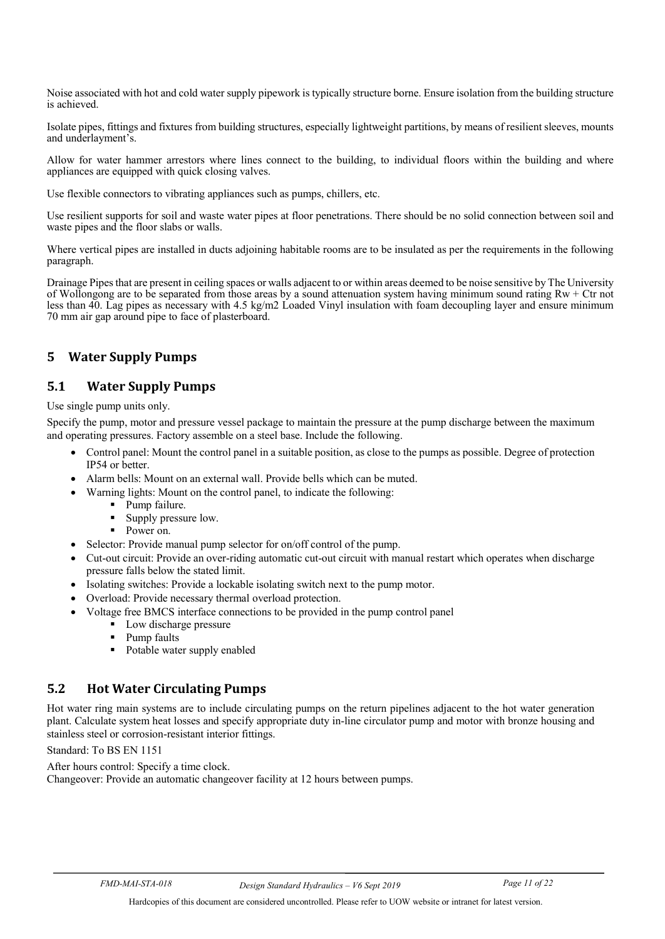Noise associated with hot and cold water supply pipework is typically structure borne. Ensure isolation from the building structure is achieved.

Isolate pipes, fittings and fixtures from building structures, especially lightweight partitions, by means of resilient sleeves, mounts and underlayment's.

Allow for water hammer arrestors where lines connect to the building, to individual floors within the building and where appliances are equipped with quick closing valves.

Use flexible connectors to vibrating appliances such as pumps, chillers, etc.

Use resilient supports for soil and waste water pipes at floor penetrations. There should be no solid connection between soil and waste pipes and the floor slabs or walls.

Where vertical pipes are installed in ducts adjoining habitable rooms are to be insulated as per the requirements in the following paragraph.

Drainage Pipes that are present in ceiling spaces or walls adjacent to or within areas deemed to be noise sensitive by The University of Wollongong are to be separated from those areas by a sound attenuation system having minimum sound rating  $Rw + C$ tr not less than 40. Lag pipes as necessary with 4.5 kg/m2 Loaded Vinyl insulation with foam decoupling layer and ensure minimum 70 mm air gap around pipe to face of plasterboard.

## <span id="page-12-0"></span>**5 Water Supply Pumps**

## <span id="page-12-1"></span>**5.1 Water Supply Pumps**

Use single pump units only.

Specify the pump, motor and pressure vessel package to maintain the pressure at the pump discharge between the maximum and operating pressures. Factory assemble on a steel base. Include the following.

- Control panel: Mount the control panel in a suitable position, as close to the pumps as possible. Degree of protection IP54 or better.
- Alarm bells: Mount on an external wall. Provide bells which can be muted.
- Warning lights: Mount on the control panel, to indicate the following:
	- Pump failure.
	- Supply pressure low.
	- Power on.
- Selector: Provide manual pump selector for on/off control of the pump.
- Cut-out circuit: Provide an over-riding automatic cut-out circuit with manual restart which operates when discharge pressure falls below the stated limit.
- Isolating switches: Provide a lockable isolating switch next to the pump motor.
- Overload: Provide necessary thermal overload protection.
- Voltage free BMCS interface connections to be provided in the pump control panel
	- Low discharge pressure
	- Pump faults
	- Potable water supply enabled

## <span id="page-12-2"></span>**5.2 Hot Water Circulating Pumps**

Hot water ring main systems are to include circulating pumps on the return pipelines adjacent to the hot water generation plant. Calculate system heat losses and specify appropriate duty in-line circulator pump and motor with bronze housing and stainless steel or corrosion-resistant interior fittings.

Standard: To BS EN 1151

After hours control: Specify a time clock.

Changeover: Provide an automatic changeover facility at 12 hours between pumps.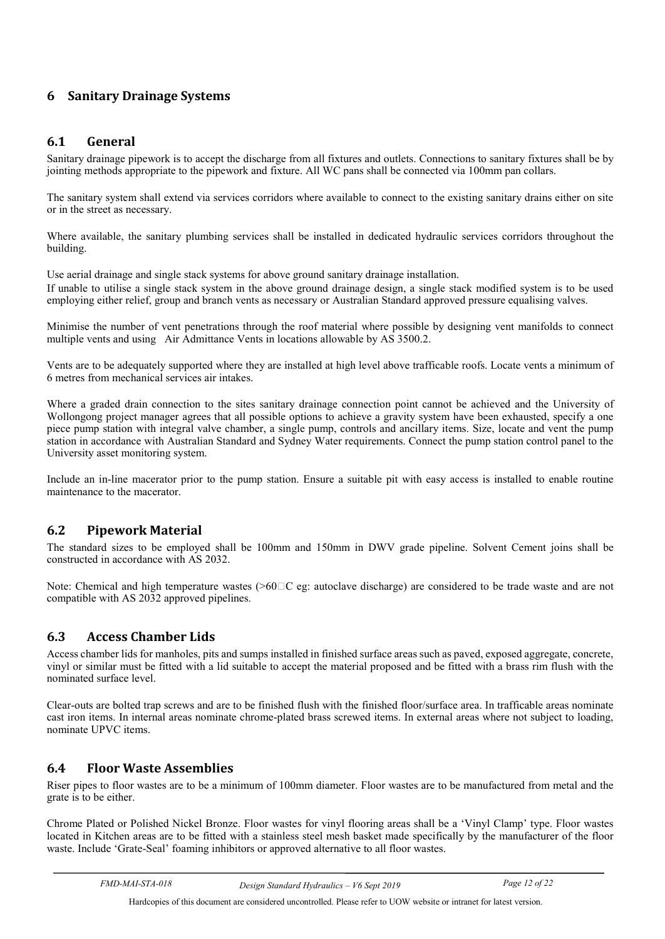## <span id="page-13-0"></span>**6 Sanitary Drainage Systems**

#### <span id="page-13-1"></span>**6.1 General**

Sanitary drainage pipework is to accept the discharge from all fixtures and outlets. Connections to sanitary fixtures shall be by jointing methods appropriate to the pipework and fixture. All WC pans shall be connected via 100mm pan collars.

The sanitary system shall extend via services corridors where available to connect to the existing sanitary drains either on site or in the street as necessary.

Where available, the sanitary plumbing services shall be installed in dedicated hydraulic services corridors throughout the building.

Use aerial drainage and single stack systems for above ground sanitary drainage installation. If unable to utilise a single stack system in the above ground drainage design, a single stack modified system is to be used employing either relief, group and branch vents as necessary or Australian Standard approved pressure equalising valves.

Minimise the number of vent penetrations through the roof material where possible by designing vent manifolds to connect multiple vents and using Air Admittance Vents in locations allowable by AS 3500.2.

Vents are to be adequately supported where they are installed at high level above trafficable roofs. Locate vents a minimum of 6 metres from mechanical services air intakes.

Where a graded drain connection to the sites sanitary drainage connection point cannot be achieved and the University of Wollongong project manager agrees that all possible options to achieve a gravity system have been exhausted, specify a one piece pump station with integral valve chamber, a single pump, controls and ancillary items. Size, locate and vent the pump station in accordance with Australian Standard and Sydney Water requirements. Connect the pump station control panel to the University asset monitoring system.

Include an in-line macerator prior to the pump station. Ensure a suitable pit with easy access is installed to enable routine maintenance to the macerator.

#### <span id="page-13-2"></span>**6.2 Pipework Material**

The standard sizes to be employed shall be 100mm and 150mm in DWV grade pipeline. Solvent Cement joins shall be constructed in accordance with AS 2032.

Note: Chemical and high temperature wastes  $(0.60 \text{ C})$  eg: autoclave discharge) are considered to be trade waste and are not compatible with AS 2032 approved pipelines.

#### <span id="page-13-3"></span>**6.3 Access Chamber Lids**

Access chamber lids for manholes, pits and sumps installed in finished surface areas such as paved, exposed aggregate, concrete, vinyl or similar must be fitted with a lid suitable to accept the material proposed and be fitted with a brass rim flush with the nominated surface level.

Clear-outs are bolted trap screws and are to be finished flush with the finished floor/surface area. In trafficable areas nominate cast iron items. In internal areas nominate chrome-plated brass screwed items. In external areas where not subject to loading, nominate UPVC items.

#### <span id="page-13-4"></span>**6.4 Floor Waste Assemblies**

Riser pipes to floor wastes are to be a minimum of 100mm diameter. Floor wastes are to be manufactured from metal and the grate is to be either.

Chrome Plated or Polished Nickel Bronze. Floor wastes for vinyl flooring areas shall be a 'Vinyl Clamp' type. Floor wastes located in Kitchen areas are to be fitted with a stainless steel mesh basket made specifically by the manufacturer of the floor waste. Include 'Grate-Seal' foaming inhibitors or approved alternative to all floor wastes.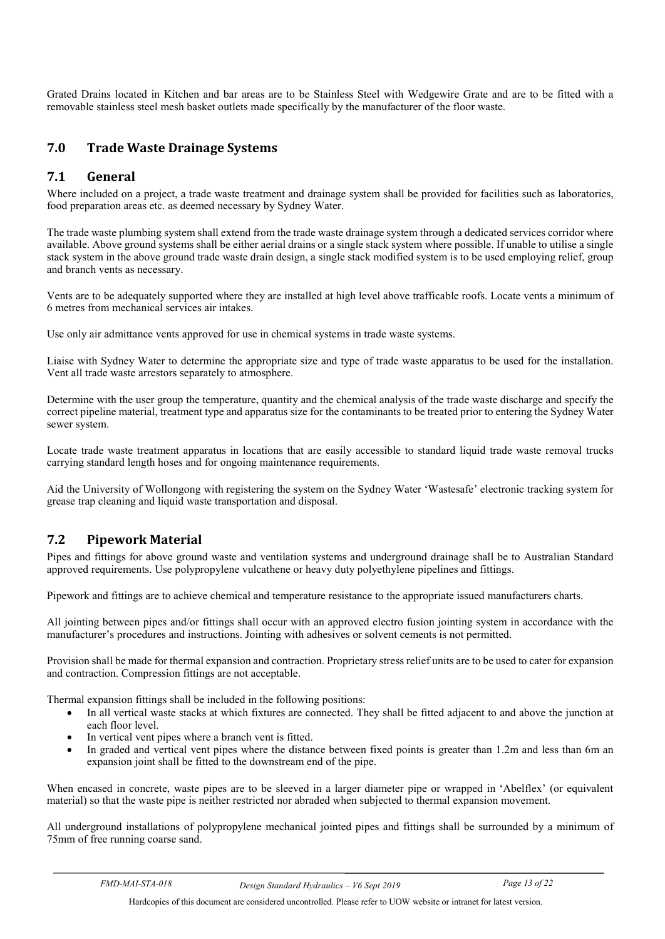<span id="page-14-0"></span>Grated Drains located in Kitchen and bar areas are to be Stainless Steel with Wedgewire Grate and are to be fitted with a removable stainless steel mesh basket outlets made specifically by the manufacturer of the floor waste.

## **7.0 Trade Waste Drainage Systems**

#### <span id="page-14-1"></span>**7.1 General**

Where included on a project, a trade waste treatment and drainage system shall be provided for facilities such as laboratories, food preparation areas etc. as deemed necessary by Sydney Water.

The trade waste plumbing system shall extend from the trade waste drainage system through a dedicated services corridor where available. Above ground systems shall be either aerial drains or a single stack system where possible. If unable to utilise a single stack system in the above ground trade waste drain design, a single stack modified system is to be used employing relief, group and branch vents as necessary.

Vents are to be adequately supported where they are installed at high level above trafficable roofs. Locate vents a minimum of 6 metres from mechanical services air intakes.

Use only air admittance vents approved for use in chemical systems in trade waste systems.

Liaise with Sydney Water to determine the appropriate size and type of trade waste apparatus to be used for the installation. Vent all trade waste arrestors separately to atmosphere.

Determine with the user group the temperature, quantity and the chemical analysis of the trade waste discharge and specify the correct pipeline material, treatment type and apparatus size for the contaminants to be treated prior to entering the Sydney Water sewer system.

Locate trade waste treatment apparatus in locations that are easily accessible to standard liquid trade waste removal trucks carrying standard length hoses and for ongoing maintenance requirements.

Aid the University of Wollongong with registering the system on the Sydney Water 'Wastesafe' electronic tracking system for grease trap cleaning and liquid waste transportation and disposal.

## <span id="page-14-2"></span>**7.2 Pipework Material**

Pipes and fittings for above ground waste and ventilation systems and underground drainage shall be to Australian Standard approved requirements. Use polypropylene vulcathene or heavy duty polyethylene pipelines and fittings.

Pipework and fittings are to achieve chemical and temperature resistance to the appropriate issued manufacturers charts.

All jointing between pipes and/or fittings shall occur with an approved electro fusion jointing system in accordance with the manufacturer's procedures and instructions. Jointing with adhesives or solvent cements is not permitted.

Provision shall be made for thermal expansion and contraction. Proprietary stress relief units are to be used to cater for expansion and contraction. Compression fittings are not acceptable.

Thermal expansion fittings shall be included in the following positions:

- In all vertical waste stacks at which fixtures are connected. They shall be fitted adjacent to and above the junction at each floor level.
- In vertical vent pipes where a branch vent is fitted.
- In graded and vertical vent pipes where the distance between fixed points is greater than 1.2m and less than 6m an expansion joint shall be fitted to the downstream end of the pipe.

When encased in concrete, waste pipes are to be sleeved in a larger diameter pipe or wrapped in 'Abelflex' (or equivalent material) so that the waste pipe is neither restricted nor abraded when subjected to thermal expansion movement.

All underground installations of polypropylene mechanical jointed pipes and fittings shall be surrounded by a minimum of 75mm of free running coarse sand.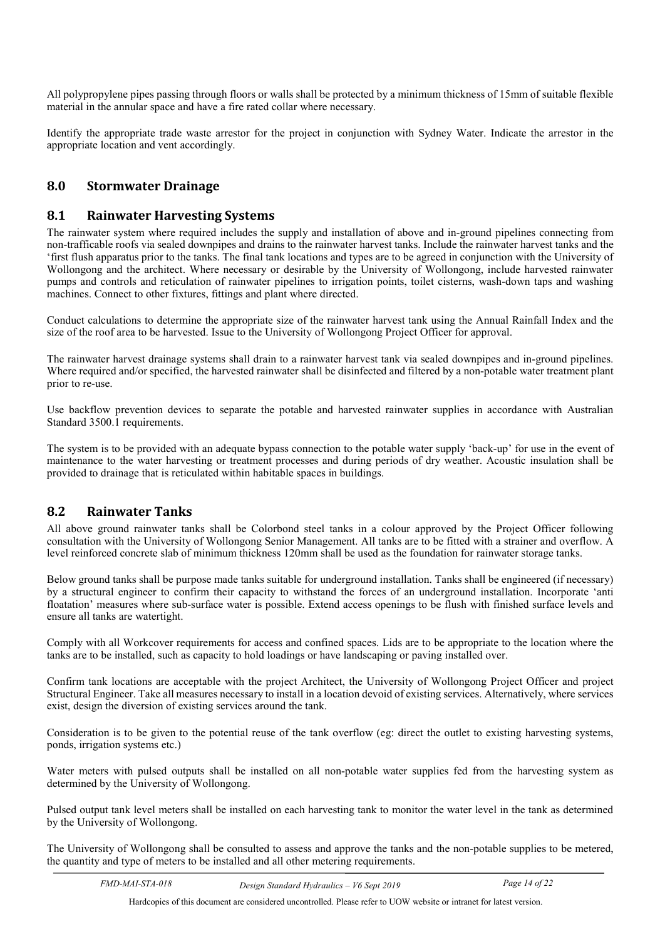All polypropylene pipes passing through floors or walls shall be protected by a minimum thickness of 15mm of suitable flexible material in the annular space and have a fire rated collar where necessary.

<span id="page-15-0"></span>Identify the appropriate trade waste arrestor for the project in conjunction with Sydney Water. Indicate the arrestor in the appropriate location and vent accordingly.

## **8.0 Stormwater Drainage**

#### <span id="page-15-1"></span>**8.1 Rainwater Harvesting Systems**

The rainwater system where required includes the supply and installation of above and in-ground pipelines connecting from non-trafficable roofs via sealed downpipes and drains to the rainwater harvest tanks. Include the rainwater harvest tanks and the 'first flush apparatus prior to the tanks. The final tank locations and types are to be agreed in conjunction with the University of Wollongong and the architect. Where necessary or desirable by the University of Wollongong, include harvested rainwater pumps and controls and reticulation of rainwater pipelines to irrigation points, toilet cisterns, wash-down taps and washing machines. Connect to other fixtures, fittings and plant where directed.

Conduct calculations to determine the appropriate size of the rainwater harvest tank using the Annual Rainfall Index and the size of the roof area to be harvested. Issue to the University of Wollongong Project Officer for approval.

The rainwater harvest drainage systems shall drain to a rainwater harvest tank via sealed downpipes and in-ground pipelines. Where required and/or specified, the harvested rainwater shall be disinfected and filtered by a non-potable water treatment plant prior to re-use.

Use backflow prevention devices to separate the potable and harvested rainwater supplies in accordance with Australian Standard 3500.1 requirements.

The system is to be provided with an adequate bypass connection to the potable water supply 'back-up' for use in the event of maintenance to the water harvesting or treatment processes and during periods of dry weather. Acoustic insulation shall be provided to drainage that is reticulated within habitable spaces in buildings.

#### <span id="page-15-2"></span>**8.2 Rainwater Tanks**

All above ground rainwater tanks shall be Colorbond steel tanks in a colour approved by the Project Officer following consultation with the University of Wollongong Senior Management. All tanks are to be fitted with a strainer and overflow. A level reinforced concrete slab of minimum thickness 120mm shall be used as the foundation for rainwater storage tanks.

Below ground tanks shall be purpose made tanks suitable for underground installation. Tanks shall be engineered (if necessary) by a structural engineer to confirm their capacity to withstand the forces of an underground installation. Incorporate 'anti floatation' measures where sub-surface water is possible. Extend access openings to be flush with finished surface levels and ensure all tanks are watertight.

Comply with all Workcover requirements for access and confined spaces. Lids are to be appropriate to the location where the tanks are to be installed, such as capacity to hold loadings or have landscaping or paving installed over.

Confirm tank locations are acceptable with the project Architect, the University of Wollongong Project Officer and project Structural Engineer. Take all measures necessary to install in a location devoid of existing services. Alternatively, where services exist, design the diversion of existing services around the tank.

Consideration is to be given to the potential reuse of the tank overflow (eg: direct the outlet to existing harvesting systems, ponds, irrigation systems etc.)

Water meters with pulsed outputs shall be installed on all non-potable water supplies fed from the harvesting system as determined by the University of Wollongong.

Pulsed output tank level meters shall be installed on each harvesting tank to monitor the water level in the tank as determined by the University of Wollongong.

The University of Wollongong shall be consulted to assess and approve the tanks and the non-potable supplies to be metered, the quantity and type of meters to be installed and all other metering requirements.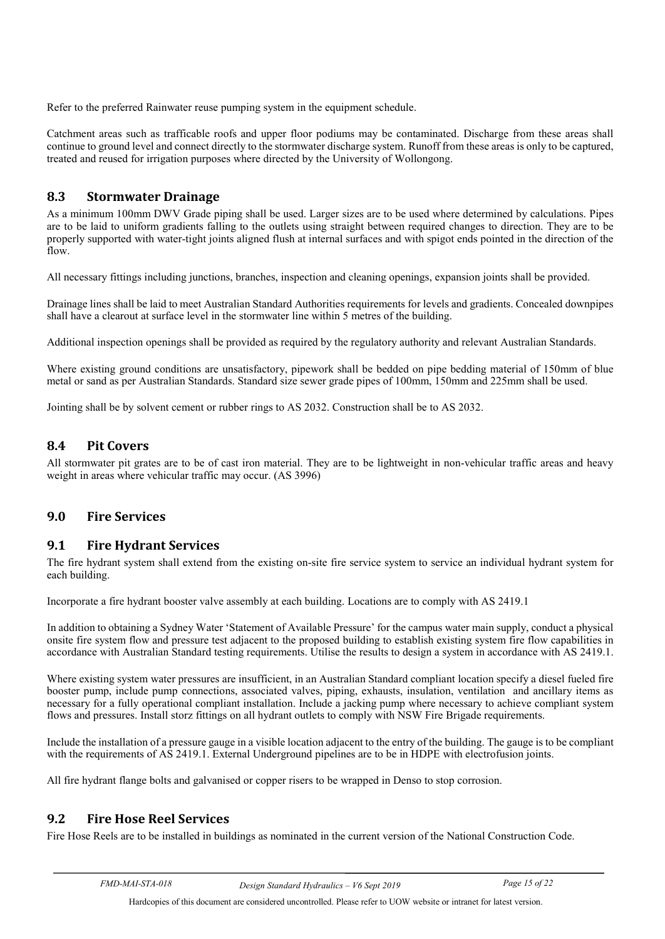Refer to the preferred Rainwater reuse pumping system in the equipment schedule.

Catchment areas such as trafficable roofs and upper floor podiums may be contaminated. Discharge from these areas shall continue to ground level and connect directly to the stormwater discharge system. Runoff from these areas is only to be captured, treated and reused for irrigation purposes where directed by the University of Wollongong.

## <span id="page-16-0"></span>**8.3 Stormwater Drainage**

As a minimum 100mm DWV Grade piping shall be used. Larger sizes are to be used where determined by calculations. Pipes are to be laid to uniform gradients falling to the outlets using straight between required changes to direction. They are to be properly supported with water-tight joints aligned flush at internal surfaces and with spigot ends pointed in the direction of the flow.

All necessary fittings including junctions, branches, inspection and cleaning openings, expansion joints shall be provided.

Drainage lines shall be laid to meet Australian Standard Authorities requirements for levels and gradients. Concealed downpipes shall have a clearout at surface level in the stormwater line within 5 metres of the building.

Additional inspection openings shall be provided as required by the regulatory authority and relevant Australian Standards.

Where existing ground conditions are unsatisfactory, pipework shall be bedded on pipe bedding material of 150mm of blue metal or sand as per Australian Standards. Standard size sewer grade pipes of 100mm, 150mm and 225mm shall be used.

Jointing shall be by solvent cement or rubber rings to AS 2032. Construction shall be to AS 2032.

## <span id="page-16-1"></span>**8.4 Pit Covers**

<span id="page-16-2"></span>All stormwater pit grates are to be of cast iron material. They are to be lightweight in non-vehicular traffic areas and heavy weight in areas where vehicular traffic may occur. (AS 3996)

## **9.0 Fire Services**

#### <span id="page-16-3"></span>**9.1 Fire Hydrant Services**

The fire hydrant system shall extend from the existing on-site fire service system to service an individual hydrant system for each building.

Incorporate a fire hydrant booster valve assembly at each building. Locations are to comply with AS 2419.1

In addition to obtaining a Sydney Water 'Statement of Available Pressure' for the campus water main supply, conduct a physical onsite fire system flow and pressure test adjacent to the proposed building to establish existing system fire flow capabilities in accordance with Australian Standard testing requirements. Utilise the results to design a system in accordance with AS 2419.1.

Where existing system water pressures are insufficient, in an Australian Standard compliant location specify a diesel fueled fire booster pump, include pump connections, associated valves, piping, exhausts, insulation, ventilation and ancillary items as necessary for a fully operational compliant installation. Include a jacking pump where necessary to achieve compliant system flows and pressures. Install storz fittings on all hydrant outlets to comply with NSW Fire Brigade requirements.

Include the installation of a pressure gauge in a visible location adjacent to the entry of the building. The gauge is to be compliant with the requirements of AS 2419.1. External Underground pipelines are to be in HDPE with electrofusion joints.

All fire hydrant flange bolts and galvanised or copper risers to be wrapped in Denso to stop corrosion.

## <span id="page-16-4"></span>**9.2 Fire Hose Reel Services**

Fire Hose Reels are to be installed in buildings as nominated in the current version of the National Construction Code.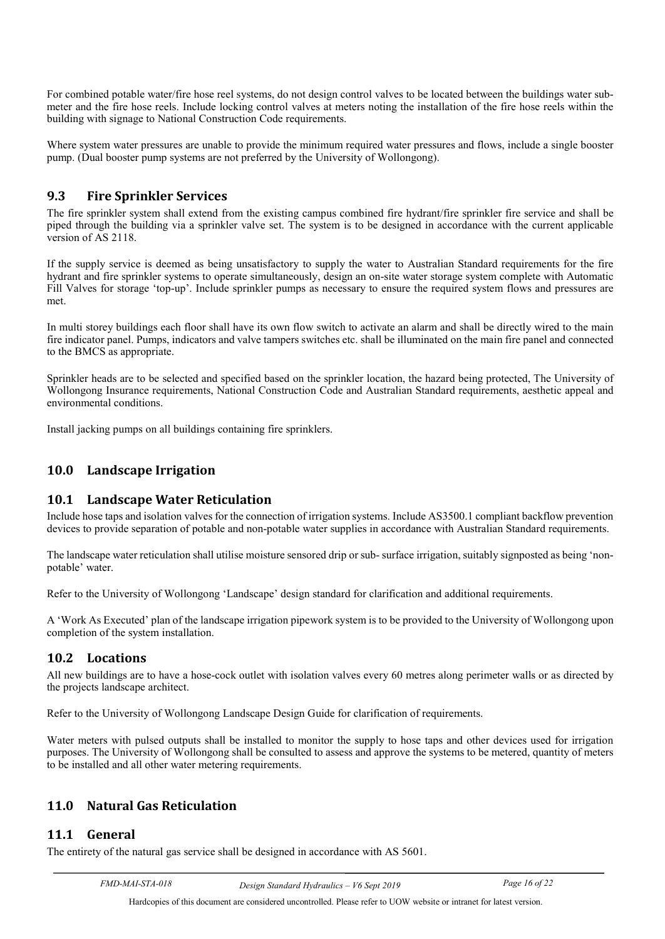For combined potable water/fire hose reel systems, do not design control valves to be located between the buildings water submeter and the fire hose reels. Include locking control valves at meters noting the installation of the fire hose reels within the building with signage to National Construction Code requirements.

Where system water pressures are unable to provide the minimum required water pressures and flows, include a single booster pump. (Dual booster pump systems are not preferred by the University of Wollongong).

#### <span id="page-17-0"></span>**9.3 Fire Sprinkler Services**

The fire sprinkler system shall extend from the existing campus combined fire hydrant/fire sprinkler fire service and shall be piped through the building via a sprinkler valve set. The system is to be designed in accordance with the current applicable version of AS 2118.

If the supply service is deemed as being unsatisfactory to supply the water to Australian Standard requirements for the fire hydrant and fire sprinkler systems to operate simultaneously, design an on-site water storage system complete with Automatic Fill Valves for storage 'top-up'. Include sprinkler pumps as necessary to ensure the required system flows and pressures are met.

In multi storey buildings each floor shall have its own flow switch to activate an alarm and shall be directly wired to the main fire indicator panel. Pumps, indicators and valve tampers switches etc. shall be illuminated on the main fire panel and connected to the BMCS as appropriate.

Sprinkler heads are to be selected and specified based on the sprinkler location, the hazard being protected, The University of Wollongong Insurance requirements, National Construction Code and Australian Standard requirements, aesthetic appeal and environmental conditions.

<span id="page-17-1"></span>Install jacking pumps on all buildings containing fire sprinklers.

## **10.0 Landscape Irrigation**

#### <span id="page-17-2"></span>**10.1 Landscape Water Reticulation**

Include hose taps and isolation valves for the connection of irrigation systems. Include AS3500.1 compliant backflow prevention devices to provide separation of potable and non-potable water supplies in accordance with Australian Standard requirements.

The landscape water reticulation shall utilise moisture sensored drip or sub- surface irrigation, suitably signposted as being 'nonpotable' water.

Refer to the University of Wollongong 'Landscape' design standard for clarification and additional requirements.

A 'Work As Executed' plan of the landscape irrigation pipework system is to be provided to the University of Wollongong upon completion of the system installation.

## <span id="page-17-3"></span>**10.2 Locations**

All new buildings are to have a hose-cock outlet with isolation valves every 60 metres along perimeter walls or as directed by the projects landscape architect.

Refer to the University of Wollongong Landscape Design Guide for clarification of requirements.

Water meters with pulsed outputs shall be installed to monitor the supply to hose taps and other devices used for irrigation purposes. The University of Wollongong shall be consulted to assess and approve the systems to be metered, quantity of meters to be installed and all other water metering requirements.

# <span id="page-17-4"></span>**11.0 Natural Gas Reticulation**

## <span id="page-17-5"></span>**11.1 General**

The entirety of the natural gas service shall be designed in accordance with AS 5601.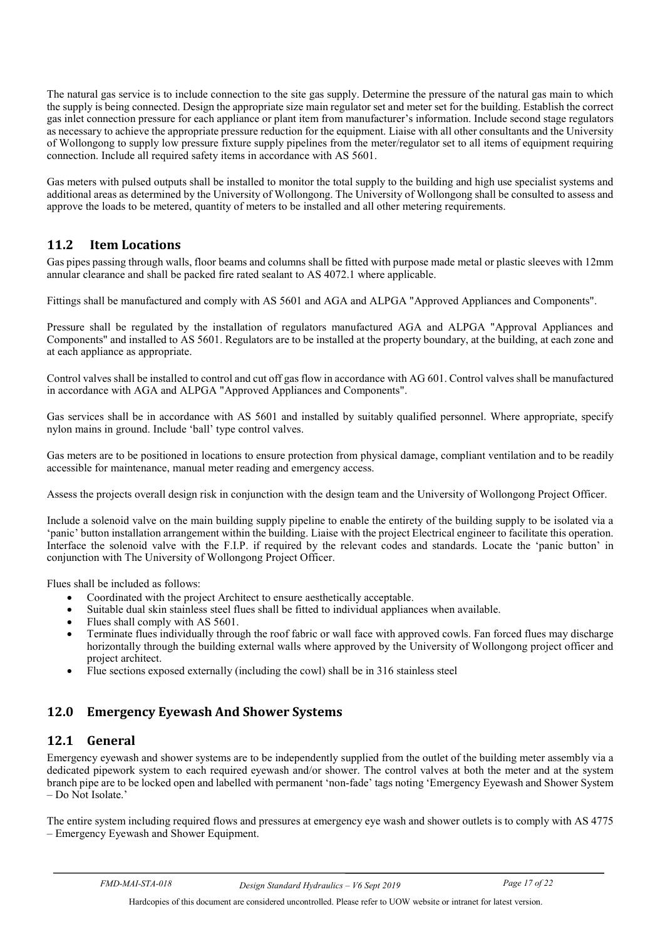The natural gas service is to include connection to the site gas supply. Determine the pressure of the natural gas main to which the supply is being connected. Design the appropriate size main regulator set and meter set for the building. Establish the correct gas inlet connection pressure for each appliance or plant item from manufacturer's information. Include second stage regulators as necessary to achieve the appropriate pressure reduction for the equipment. Liaise with all other consultants and the University of Wollongong to supply low pressure fixture supply pipelines from the meter/regulator set to all items of equipment requiring connection. Include all required safety items in accordance with AS 5601.

Gas meters with pulsed outputs shall be installed to monitor the total supply to the building and high use specialist systems and additional areas as determined by the University of Wollongong. The University of Wollongong shall be consulted to assess and approve the loads to be metered, quantity of meters to be installed and all other metering requirements.

## <span id="page-18-0"></span>**11.2 Item Locations**

Gas pipes passing through walls, floor beams and columns shall be fitted with purpose made metal or plastic sleeves with 12mm annular clearance and shall be packed fire rated sealant to AS 4072.1 where applicable.

Fittings shall be manufactured and comply with AS 5601 and AGA and ALPGA "Approved Appliances and Components".

Pressure shall be regulated by the installation of regulators manufactured AGA and ALPGA "Approval Appliances and Components" and installed to AS 5601. Regulators are to be installed at the property boundary, at the building, at each zone and at each appliance as appropriate.

Control valves shall be installed to control and cut off gas flow in accordance with AG 601. Control valves shall be manufactured in accordance with AGA and ALPGA "Approved Appliances and Components".

Gas services shall be in accordance with AS 5601 and installed by suitably qualified personnel. Where appropriate, specify nylon mains in ground. Include 'ball' type control valves.

Gas meters are to be positioned in locations to ensure protection from physical damage, compliant ventilation and to be readily accessible for maintenance, manual meter reading and emergency access.

Assess the projects overall design risk in conjunction with the design team and the University of Wollongong Project Officer.

Include a solenoid valve on the main building supply pipeline to enable the entirety of the building supply to be isolated via a 'panic' button installation arrangement within the building. Liaise with the project Electrical engineer to facilitate this operation. Interface the solenoid valve with the F.I.P. if required by the relevant codes and standards. Locate the 'panic button' in conjunction with The University of Wollongong Project Officer.

Flues shall be included as follows:

- Coordinated with the project Architect to ensure aesthetically acceptable.
- Suitable dual skin stainless steel flues shall be fitted to individual appliances when available.
- Flues shall comply with AS 5601.
- Terminate flues individually through the roof fabric or wall face with approved cowls. Fan forced flues may discharge horizontally through the building external walls where approved by the University of Wollongong project officer and project architect.
- <span id="page-18-1"></span>• Flue sections exposed externally (including the cowl) shall be in 316 stainless steel

## **12.0 Emergency Eyewash And Shower Systems**

#### <span id="page-18-2"></span>**12.1 General**

Emergency eyewash and shower systems are to be independently supplied from the outlet of the building meter assembly via a dedicated pipework system to each required eyewash and/or shower. The control valves at both the meter and at the system branch pipe are to be locked open and labelled with permanent 'non-fade' tags noting 'Emergency Eyewash and Shower System – Do Not Isolate.'

The entire system including required flows and pressures at emergency eye wash and shower outlets is to comply with AS 4775 – Emergency Eyewash and Shower Equipment.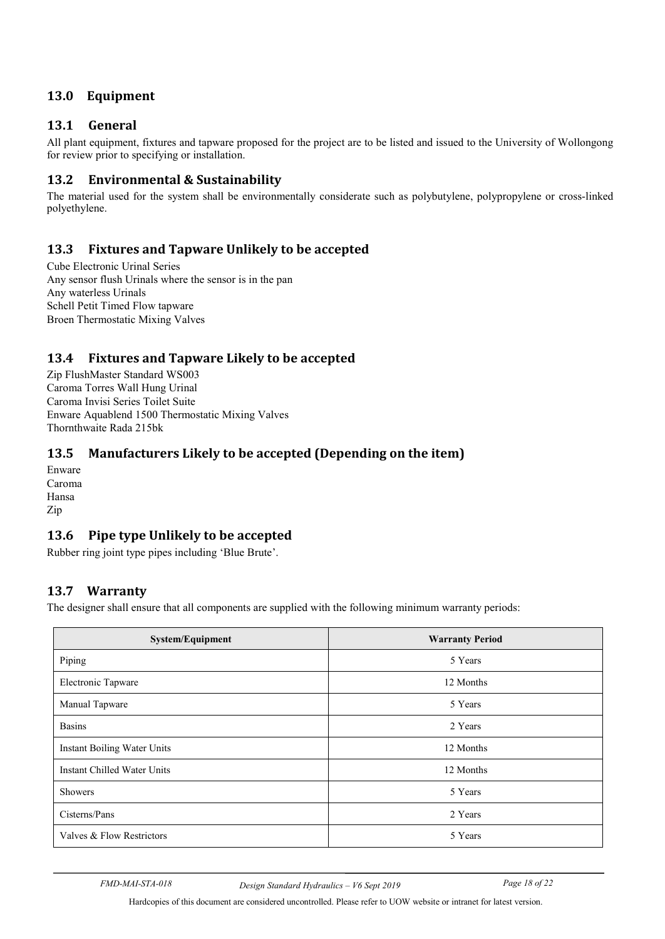# <span id="page-19-0"></span>**13.0 Equipment**

## <span id="page-19-1"></span>**13.1 General**

All plant equipment, fixtures and tapware proposed for the project are to be listed and issued to the University of Wollongong for review prior to specifying or installation.

## <span id="page-19-2"></span>**13.2 Environmental & Sustainability**

<span id="page-19-3"></span>The material used for the system shall be environmentally considerate such as polybutylene, polypropylene or cross-linked polyethylene.

## **13.3 Fixtures and Tapware Unlikely to be accepted**

Cube Electronic Urinal Series Any sensor flush Urinals where the sensor is in the pan Any waterless Urinals Schell Petit Timed Flow tapware Broen Thermostatic Mixing Valves

## <span id="page-19-4"></span>**13.4 Fixtures and Tapware Likely to be accepted**

Zip FlushMaster Standard WS003 Caroma Torres Wall Hung Urinal Caroma Invisi Series Toilet Suite Enware Aquablend 1500 Thermostatic Mixing Valves Thornthwaite Rada 215bk

## <span id="page-19-5"></span>**13.5 Manufacturers Likely to be accepted (Depending on the item)**

Enware Caroma Hansa Zip

## <span id="page-19-6"></span>**13.6 Pipe type Unlikely to be accepted**

Rubber ring joint type pipes including 'Blue Brute'.

## <span id="page-19-7"></span>**13.7 Warranty**

The designer shall ensure that all components are supplied with the following minimum warranty periods:

| <b>System/Equipment</b>     | <b>Warranty Period</b> |  |  |
|-----------------------------|------------------------|--|--|
| Piping                      | 5 Years                |  |  |
| Electronic Tapware          | 12 Months              |  |  |
| Manual Tapware              | 5 Years                |  |  |
| <b>Basins</b>               | 2 Years                |  |  |
| Instant Boiling Water Units | 12 Months              |  |  |
| Instant Chilled Water Units | 12 Months              |  |  |
| <b>Showers</b>              | 5 Years                |  |  |
| Cisterns/Pans               | 2 Years                |  |  |
| Valves & Flow Restrictors   | 5 Years                |  |  |

*FMD-MAI-STA-018 Design Standard Hydraulics – V6 Sept 2019 Page 18 of 22*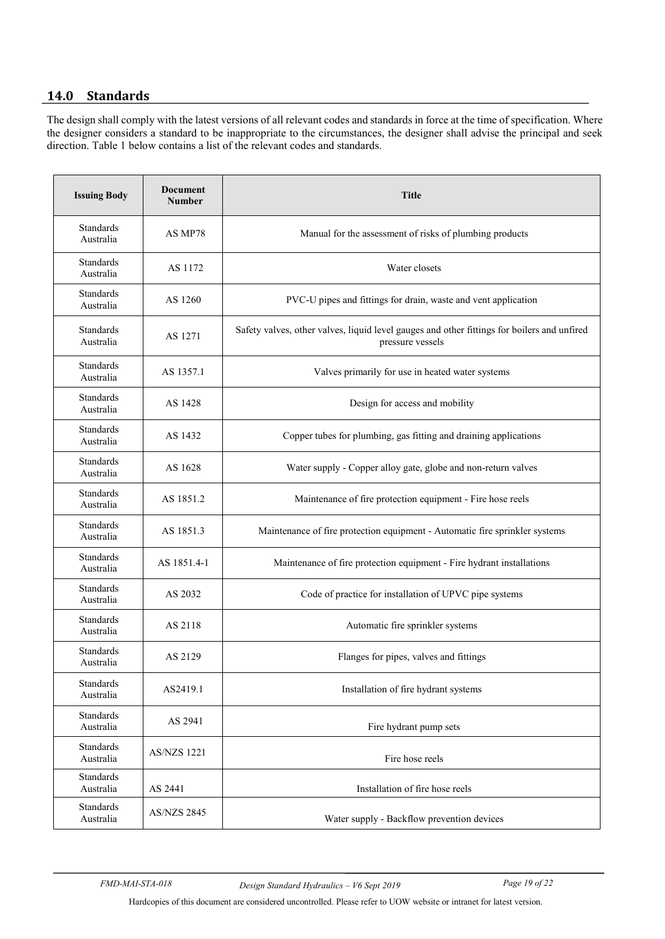# <span id="page-20-0"></span>**14.0 Standards**

The design shall comply with the latest versions of all relevant codes and standards in force at the time of specification. Where the designer considers a standard to be inappropriate to the circumstances, the designer shall advise the principal and seek direction. Table 1 below contains a list of the relevant codes and standards.

| <b>Issuing Body</b>                          | <b>Document</b><br><b>Number</b> | <b>Title</b>                                                                                                    |  |
|----------------------------------------------|----------------------------------|-----------------------------------------------------------------------------------------------------------------|--|
| <b>Standards</b><br>AS MP78<br>Australia     |                                  | Manual for the assessment of risks of plumbing products                                                         |  |
| <b>Standards</b><br>Australia                | AS 1172                          | Water closets                                                                                                   |  |
| <b>Standards</b><br>Australia                | AS 1260                          | PVC-U pipes and fittings for drain, waste and vent application                                                  |  |
| <b>Standards</b><br>Australia                | AS 1271                          | Safety valves, other valves, liquid level gauges and other fittings for boilers and unfired<br>pressure vessels |  |
| <b>Standards</b><br>Australia                | AS 1357.1                        | Valves primarily for use in heated water systems                                                                |  |
| <b>Standards</b><br>Australia                | AS 1428                          | Design for access and mobility                                                                                  |  |
| <b>Standards</b><br>Australia                | AS 1432                          | Copper tubes for plumbing, gas fitting and draining applications                                                |  |
| <b>Standards</b><br>AS 1628<br>Australia     |                                  | Water supply - Copper alloy gate, globe and non-return valves                                                   |  |
| <b>Standards</b><br>Australia                | AS 1851.2                        | Maintenance of fire protection equipment - Fire hose reels                                                      |  |
| <b>Standards</b><br>Australia                | AS 1851.3                        | Maintenance of fire protection equipment - Automatic fire sprinkler systems                                     |  |
| <b>Standards</b><br>Australia                | AS 1851.4-1                      | Maintenance of fire protection equipment - Fire hydrant installations                                           |  |
| <b>Standards</b><br>Australia                | AS 2032                          | Code of practice for installation of UPVC pipe systems                                                          |  |
| <b>Standards</b><br>Australia                | AS 2118                          | Automatic fire sprinkler systems                                                                                |  |
| <b>Standards</b><br>Australia                | AS 2129                          | Flanges for pipes, valves and fittings                                                                          |  |
| Standards<br>Australia                       | AS2419.1                         | Installation of fire hydrant systems                                                                            |  |
| Standards<br>Australia                       | AS 2941                          | Fire hydrant pump sets                                                                                          |  |
| Standards<br><b>AS/NZS 1221</b><br>Australia |                                  | Fire hose reels                                                                                                 |  |
| Standards<br>Australia                       | AS 2441                          | Installation of fire hose reels                                                                                 |  |
| Standards<br>Australia                       | <b>AS/NZS 2845</b>               | Water supply - Backflow prevention devices                                                                      |  |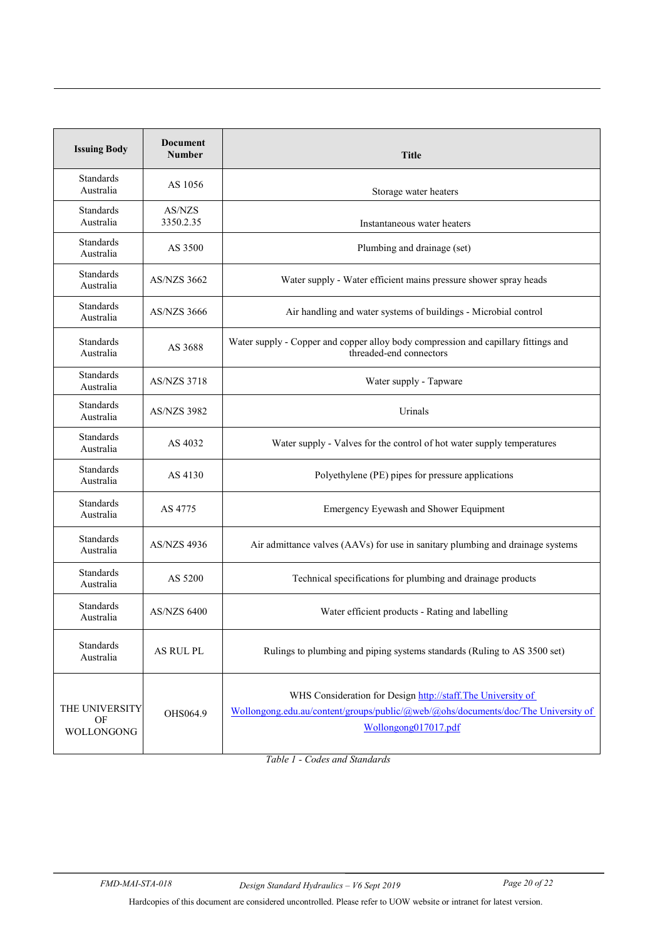| Document<br><b>Issuing Body</b><br><b>Number</b> |                     | <b>Title</b>                                                                                                                                                             |  |  |
|--------------------------------------------------|---------------------|--------------------------------------------------------------------------------------------------------------------------------------------------------------------------|--|--|
| <b>Standards</b><br>Australia                    | AS 1056             | Storage water heaters                                                                                                                                                    |  |  |
| Standards<br>Australia                           | AS/NZS<br>3350.2.35 | Instantaneous water heaters                                                                                                                                              |  |  |
| <b>Standards</b><br>Australia                    | AS 3500             | Plumbing and drainage (set)                                                                                                                                              |  |  |
| <b>Standards</b><br>Australia                    | <b>AS/NZS 3662</b>  | Water supply - Water efficient mains pressure shower spray heads                                                                                                         |  |  |
| <b>Standards</b><br>Australia                    | AS/NZS 3666         | Air handling and water systems of buildings - Microbial control                                                                                                          |  |  |
| <b>Standards</b><br>Australia                    | AS 3688             | Water supply - Copper and copper alloy body compression and capillary fittings and<br>threaded-end connectors                                                            |  |  |
| <b>Standards</b><br>Australia                    | <b>AS/NZS 3718</b>  | Water supply - Tapware                                                                                                                                                   |  |  |
| <b>Standards</b><br>Australia                    | <b>AS/NZS 3982</b>  | Urinals                                                                                                                                                                  |  |  |
| <b>Standards</b><br>Australia                    | AS 4032             | Water supply - Valves for the control of hot water supply temperatures                                                                                                   |  |  |
| <b>Standards</b><br>Australia                    | AS 4130             | Polyethylene (PE) pipes for pressure applications                                                                                                                        |  |  |
| <b>Standards</b><br>Australia                    | AS 4775             | Emergency Eyewash and Shower Equipment                                                                                                                                   |  |  |
| Standards<br><b>AS/NZS 4936</b><br>Australia     |                     | Air admittance valves (AAVs) for use in sanitary plumbing and drainage systems                                                                                           |  |  |
| <b>Standards</b><br>AS 5200<br>Australia         |                     | Technical specifications for plumbing and drainage products                                                                                                              |  |  |
| <b>Standards</b><br>Australia                    | AS/NZS 6400         | Water efficient products - Rating and labelling                                                                                                                          |  |  |
| Standards<br>Australia                           | AS RUL PL           | Rulings to plumbing and piping systems standards (Ruling to AS 3500 set)                                                                                                 |  |  |
| THE UNIVERSITY<br>OF<br>WOLLONGONG               | OHS064.9            | WHS Consideration for Design http://staff.The University of<br>Wollongong.edu.au/content/groups/public/@web/@ohs/documents/doc/The University of<br>Wollongong017017.pdf |  |  |

*Table 1 - Codes and Standards*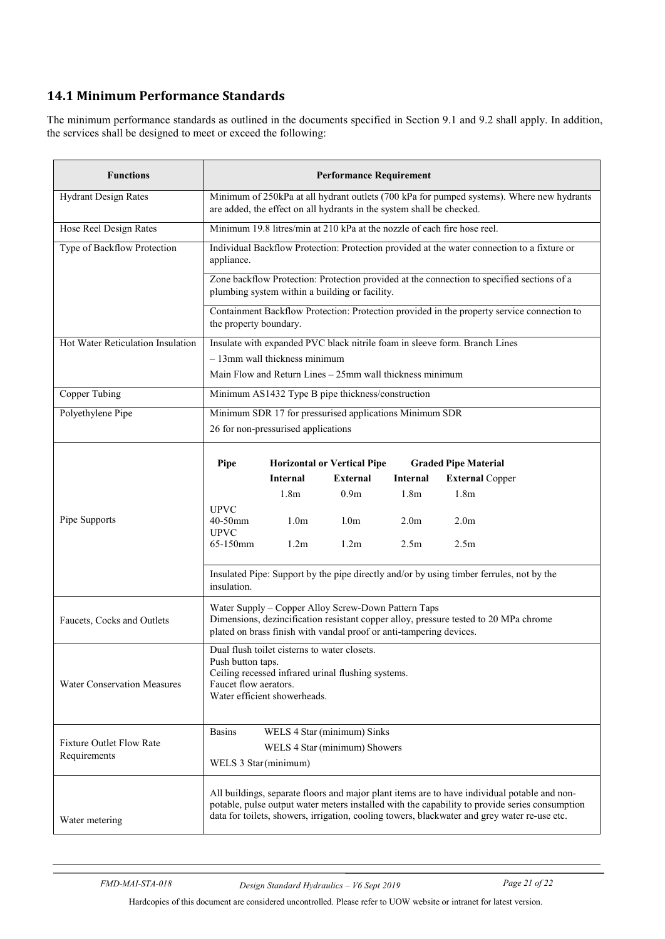# <span id="page-22-0"></span>**14.1 Minimum Performance Standards**

The minimum performance standards as outlined in the documents specified in Section 9.1 and 9.2 shall apply. In addition, the services shall be designed to meet or exceed the following:

| <b>Functions</b>                                | <b>Performance Requirement</b>                                                                                                                                                                                                                                                                 |                                     |                                                                          |                  |                                                                                             |
|-------------------------------------------------|------------------------------------------------------------------------------------------------------------------------------------------------------------------------------------------------------------------------------------------------------------------------------------------------|-------------------------------------|--------------------------------------------------------------------------|------------------|---------------------------------------------------------------------------------------------|
| <b>Hydrant Design Rates</b>                     | Minimum of 250kPa at all hydrant outlets (700 kPa for pumped systems). Where new hydrants<br>are added, the effect on all hydrants in the system shall be checked.                                                                                                                             |                                     |                                                                          |                  |                                                                                             |
| Hose Reel Design Rates                          |                                                                                                                                                                                                                                                                                                |                                     | Minimum 19.8 litres/min at 210 kPa at the nozzle of each fire hose reel. |                  |                                                                                             |
| Type of Backflow Protection                     | appliance.                                                                                                                                                                                                                                                                                     |                                     |                                                                          |                  | Individual Backflow Protection: Protection provided at the water connection to a fixture or |
|                                                 | Zone backflow Protection: Protection provided at the connection to specified sections of a<br>plumbing system within a building or facility.                                                                                                                                                   |                                     |                                                                          |                  |                                                                                             |
|                                                 | the property boundary.                                                                                                                                                                                                                                                                         |                                     |                                                                          |                  | Containment Backflow Protection: Protection provided in the property service connection to  |
| Hot Water Reticulation Insulation               |                                                                                                                                                                                                                                                                                                |                                     |                                                                          |                  | Insulate with expanded PVC black nitrile foam in sleeve form. Branch Lines                  |
|                                                 |                                                                                                                                                                                                                                                                                                | $-13$ mm wall thickness minimum     |                                                                          |                  |                                                                                             |
|                                                 |                                                                                                                                                                                                                                                                                                |                                     | Main Flow and Return Lines - 25mm wall thickness minimum                 |                  |                                                                                             |
| Copper Tubing                                   |                                                                                                                                                                                                                                                                                                |                                     | Minimum AS1432 Type B pipe thickness/construction                        |                  |                                                                                             |
| Polyethylene Pipe                               |                                                                                                                                                                                                                                                                                                | 26 for non-pressurised applications | Minimum SDR 17 for pressurised applications Minimum SDR                  |                  |                                                                                             |
|                                                 | Pipe                                                                                                                                                                                                                                                                                           | <b>Internal</b>                     | <b>Horizontal or Vertical Pipe</b><br><b>External</b>                    | <b>Internal</b>  | <b>Graded Pipe Material</b><br><b>External Copper</b>                                       |
|                                                 |                                                                                                                                                                                                                                                                                                | 1.8 <sub>m</sub>                    | 0.9 <sub>m</sub>                                                         | 1.8 <sub>m</sub> | 1.8 <sub>m</sub>                                                                            |
| Pipe Supports                                   | <b>UPVC</b><br>40-50mm<br><b>UPVC</b>                                                                                                                                                                                                                                                          | 1.0 <sub>m</sub>                    | 1.0 <sub>m</sub>                                                         | 2.0 <sub>m</sub> | 2.0 <sub>m</sub>                                                                            |
|                                                 | 65-150mm                                                                                                                                                                                                                                                                                       | 1.2m                                | 1.2 <sub>m</sub>                                                         | 2.5 <sub>m</sub> | 2.5 <sub>m</sub>                                                                            |
|                                                 | Insulated Pipe: Support by the pipe directly and/or by using timber ferrules, not by the<br>insulation.                                                                                                                                                                                        |                                     |                                                                          |                  |                                                                                             |
| Faucets, Cocks and Outlets                      | Water Supply - Copper Alloy Screw-Down Pattern Taps<br>Dimensions, dezincification resistant copper alloy, pressure tested to 20 MPa chrome<br>plated on brass finish with vandal proof or anti-tampering devices.                                                                             |                                     |                                                                          |                  |                                                                                             |
| <b>Water Conservation Measures</b>              | Dual flush toilet cisterns to water closets.<br>Push button taps.<br>Ceiling recessed infrared urinal flushing systems.<br>Faucet flow aerators.<br>Water efficient showerheads.                                                                                                               |                                     |                                                                          |                  |                                                                                             |
| <b>Fixture Outlet Flow Rate</b><br>Requirements | <b>Basins</b><br>WELS 4 Star (minimum) Sinks<br>WELS 4 Star (minimum) Showers<br>WELS 3 Star(minimum)                                                                                                                                                                                          |                                     |                                                                          |                  |                                                                                             |
| Water metering                                  | All buildings, separate floors and major plant items are to have individual potable and non-<br>potable, pulse output water meters installed with the capability to provide series consumption<br>data for toilets, showers, irrigation, cooling towers, blackwater and grey water re-use etc. |                                     |                                                                          |                  |                                                                                             |